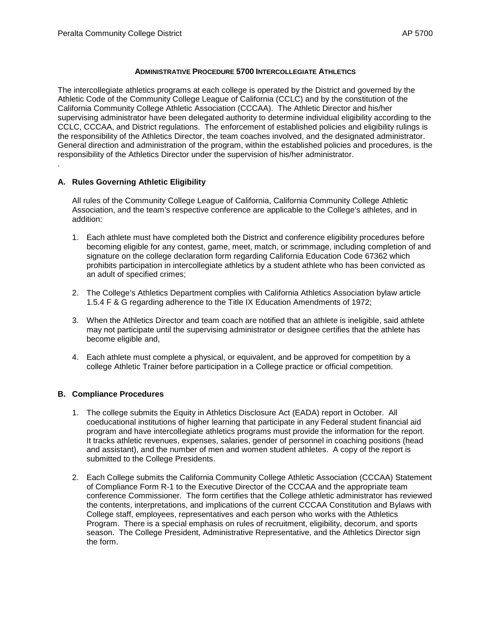## **ADMINISTRATIVE PROCEDURE 5700 INTERCOLLEGIATE ATHLETICS**

The intercollegiate athletics programs at each college is operated by the District and governed by the Athletic Code of the Community College League of California (CCLC) and by the constitution of the California Community College Athletic Association (CCCAA). The Athletic Director and his/her supervising administrator have been delegated authority to determine individual eligibility according to the CCLC, CCCAA, and District regulations. The enforcement of established policies and eligibility rulings is the responsibility of the Athletics Director, the team coaches involved, and the designated administrator. General direction and administration of the program, within the established policies and procedures, is the responsibility of the Athletics Director under the supervision of his/her administrator. .

## **A. Rules Governing Athletic Eligibility**

All rules of the Community College League of California, California Community College Athletic Association, and the team's respective conference are applicable to the College's athletes, and in addition:

- 1. Each athlete must have completed both the District and conference eligibility procedures before becoming eligible for any contest, game, meet, match, or scrimmage, including completion of and signature on the college declaration form regarding California Education Code 67362 which prohibits participation in intercollegiate athletics by a student athlete who has been convicted as an adult of specified crimes;
- 2. The College's Athletics Department complies with California Athletics Association bylaw article 1.5.4 F & G regarding adherence to the Title IX Education Amendments of 1972;
- 3. When the Athletics Director and team coach are notified that an athlete is ineligible, said athlete may not participate until the supervising administrator or designee certifies that the athlete has become eligible and,
- 4. Each athlete must complete a physical, or equivalent, and be approved for competition by a college Athletic Trainer before participation in a College practice or official competition.

## **B. Compliance Procedures**

- 1. The college submits the Equity in Athletics Disclosure Act (EADA) report in October. All coeducational institutions of higher learning that participate in any Federal student financial aid program and have intercollegiate athletics programs must provide the information for the report. It tracks athletic revenues, expenses, salaries, gender of personnel in coaching positions (head and assistant), and the number of men and women student athletes. A copy of the report is submitted to the College Presidents.
- 2. Each College submits the California Community College Athletic Association (CCCAA) Statement of Compliance Form R-1 to the Executive Director of the CCCAA and the appropriate team conference Commissioner. The form certifies that the College athletic administrator has reviewed the contents, interpretations, and implications of the current CCCAA Constitution and Bylaws with College staff, employees, representatives and each person who works with the Athletics Program. There is a special emphasis on rules of recruitment, eligibility, decorum, and sports season. The College President, Administrative Representative, and the Athletics Director sign the form.